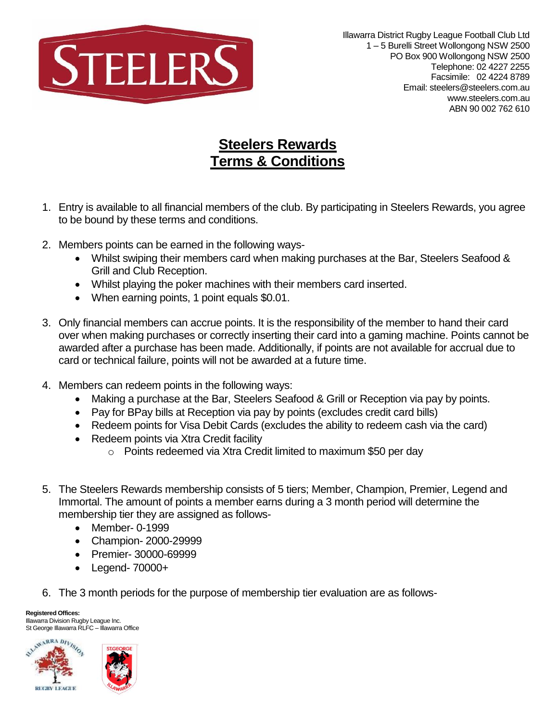

## **Steelers Rewards Terms & Conditions**

- 1. Entry is available to all financial members of the club. By participating in Steelers Rewards, you agree to be bound by these terms and conditions.
- 2. Members points can be earned in the following ways-
	- Whilst swiping their members card when making purchases at the Bar, Steelers Seafood & Grill and Club Reception.
	- Whilst playing the poker machines with their members card inserted.
	- When earning points, 1 point equals \$0.01.
- 3. Only financial members can accrue points. It is the responsibility of the member to hand their card over when making purchases or correctly inserting their card into a gaming machine. Points cannot be awarded after a purchase has been made. Additionally, if points are not available for accrual due to card or technical failure, points will not be awarded at a future time.
- 4. Members can redeem points in the following ways:
	- Making a purchase at the Bar, Steelers Seafood & Grill or Reception via pay by points.
	- Pay for BPay bills at Reception via pay by points (excludes credit card bills)
	- Redeem points for Visa Debit Cards (excludes the ability to redeem cash via the card)
	- Redeem points via Xtra Credit facility
		- o Points redeemed via Xtra Credit limited to maximum \$50 per day
- 5. The Steelers Rewards membership consists of 5 tiers; Member, Champion, Premier, Legend and Immortal. The amount of points a member earns during a 3 month period will determine the membership tier they are assigned as follows-
	- Member- 0-1999
	- Champion- 2000-29999
	- Premier- 30000-69999
	- Legend- 70000+
- 6. The 3 month periods for the purpose of membership tier evaluation are as follows-

**Registered Offices:** Illawarra Division Rugby League Inc. St George Illawarra RLFC - Illawarra Office